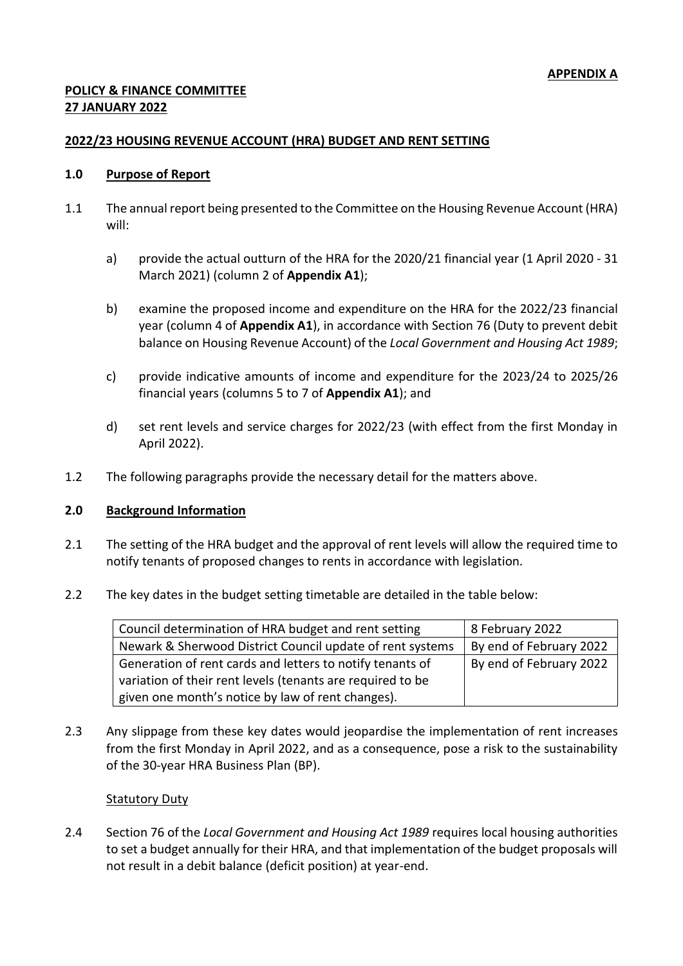# **POLICY & FINANCE COMMITTEE 27 JANUARY 2022**

### **2022/23 HOUSING REVENUE ACCOUNT (HRA) BUDGET AND RENT SETTING**

#### **1.0 Purpose of Report**

- 1.1 The annual report being presented to the Committee on the Housing Revenue Account (HRA) will:
	- a) provide the actual outturn of the HRA for the 2020/21 financial year (1 April 2020 31 March 2021) (column 2 of **Appendix A1**);
	- b) examine the proposed income and expenditure on the HRA for the 2022/23 financial year (column 4 of **Appendix A1**), in accordance with Section 76 (Duty to prevent debit balance on Housing Revenue Account) of the *Local Government and Housing Act 1989*;
	- c) provide indicative amounts of income and expenditure for the 2023/24 to 2025/26 financial years (columns 5 to 7 of **Appendix A1**); and
	- d) set rent levels and service charges for 2022/23 (with effect from the first Monday in April 2022).
- 1.2 The following paragraphs provide the necessary detail for the matters above.

### **2.0 Background Information**

- 2.1 The setting of the HRA budget and the approval of rent levels will allow the required time to notify tenants of proposed changes to rents in accordance with legislation.
- 2.2 The key dates in the budget setting timetable are detailed in the table below:

| Council determination of HRA budget and rent setting       | 8 February 2022         |
|------------------------------------------------------------|-------------------------|
| Newark & Sherwood District Council update of rent systems  | By end of February 2022 |
| Generation of rent cards and letters to notify tenants of  | By end of February 2022 |
| variation of their rent levels (tenants are required to be |                         |
| given one month's notice by law of rent changes).          |                         |

2.3 Any slippage from these key dates would jeopardise the implementation of rent increases from the first Monday in April 2022, and as a consequence, pose a risk to the sustainability of the 30-year HRA Business Plan (BP).

### Statutory Duty

2.4 Section 76 of the *Local Government and Housing Act 1989* requires local housing authorities to set a budget annually for their HRA, and that implementation of the budget proposals will not result in a debit balance (deficit position) at year-end.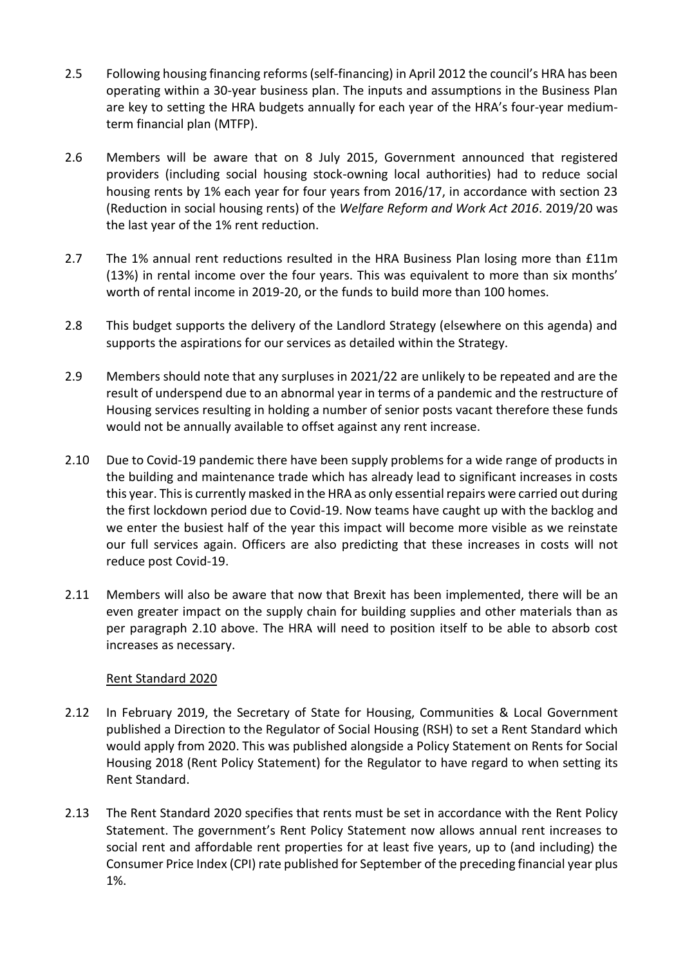- 2.5 Following housing financing reforms (self-financing) in April 2012 the council's HRA has been operating within a 30-year business plan. The inputs and assumptions in the Business Plan are key to setting the HRA budgets annually for each year of the HRA's four-year mediumterm financial plan (MTFP).
- 2.6 Members will be aware that on 8 July 2015, Government announced that registered providers (including social housing stock-owning local authorities) had to reduce social housing rents by 1% each year for four years from 2016/17, in accordance with section 23 (Reduction in social housing rents) of the *Welfare Reform and Work Act 2016*. 2019/20 was the last year of the 1% rent reduction.
- 2.7 The 1% annual rent reductions resulted in the HRA Business Plan losing more than £11m (13%) in rental income over the four years. This was equivalent to more than six months' worth of rental income in 2019-20, or the funds to build more than 100 homes.
- 2.8 This budget supports the delivery of the Landlord Strategy (elsewhere on this agenda) and supports the aspirations for our services as detailed within the Strategy.
- 2.9 Members should note that any surpluses in 2021/22 are unlikely to be repeated and are the result of underspend due to an abnormal year in terms of a pandemic and the restructure of Housing services resulting in holding a number of senior posts vacant therefore these funds would not be annually available to offset against any rent increase.
- 2.10 Due to Covid-19 pandemic there have been supply problems for a wide range of products in the building and maintenance trade which has already lead to significant increases in costs this year. This is currently masked in the HRA as only essential repairs were carried out during the first lockdown period due to Covid-19. Now teams have caught up with the backlog and we enter the busiest half of the year this impact will become more visible as we reinstate our full services again. Officers are also predicting that these increases in costs will not reduce post Covid-19.
- 2.11 Members will also be aware that now that Brexit has been implemented, there will be an even greater impact on the supply chain for building supplies and other materials than as per paragraph 2.10 above. The HRA will need to position itself to be able to absorb cost increases as necessary.

## Rent Standard 2020

- 2.12 In February 2019, the Secretary of State for Housing, Communities & Local Government published a Direction to the Regulator of Social Housing (RSH) to set a Rent Standard which would apply from 2020. This was published alongside a Policy Statement on Rents for Social Housing 2018 (Rent Policy Statement) for the Regulator to have regard to when setting its Rent Standard.
- 2.13 The Rent Standard 2020 specifies that rents must be set in accordance with the Rent Policy Statement. The government's Rent Policy Statement now allows annual rent increases to social rent and affordable rent properties for at least five years, up to (and including) the Consumer Price Index (CPI) rate published for September of the preceding financial year plus 1%.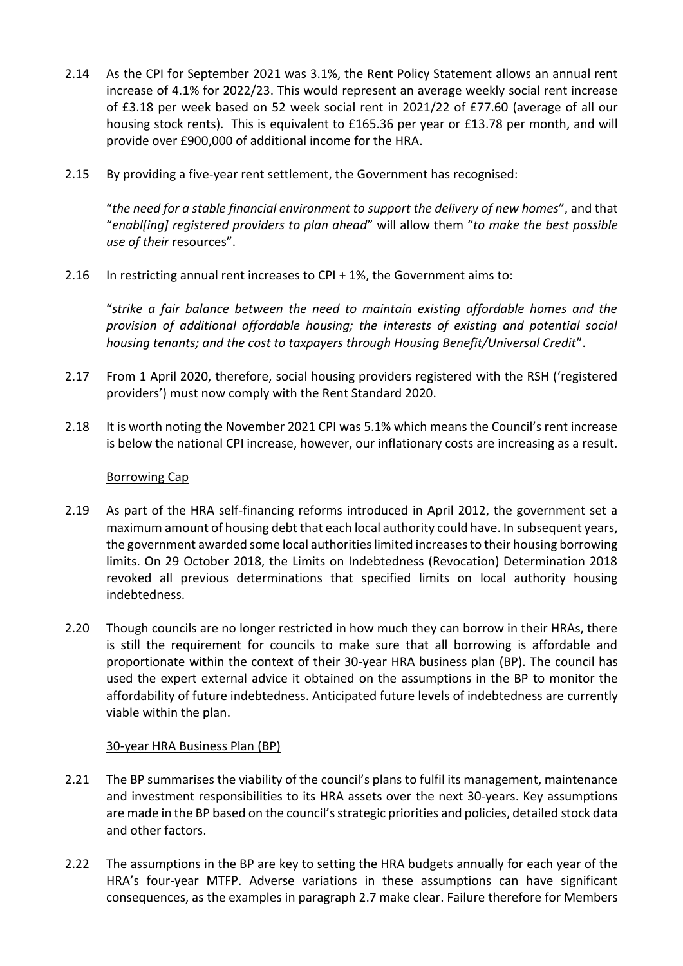- 2.14 As the CPI for September 2021 was 3.1%, the Rent Policy Statement allows an annual rent increase of 4.1% for 2022/23. This would represent an average weekly social rent increase of £3.18 per week based on 52 week social rent in 2021/22 of £77.60 (average of all our housing stock rents). This is equivalent to £165.36 per year or £13.78 per month, and will provide over £900,000 of additional income for the HRA.
- 2.15 By providing a five-year rent settlement, the Government has recognised:

"*the need for a stable financial environment to support the delivery of new homes*", and that "*enabl[ing] registered providers to plan ahead*" will allow them "*to make the best possible use of their* resources".

2.16 In restricting annual rent increases to CPI + 1%, the Government aims to:

"*strike a fair balance between the need to maintain existing affordable homes and the provision of additional affordable housing; the interests of existing and potential social housing tenants; and the cost to taxpayers through Housing Benefit/Universal Credit*".

- 2.17 From 1 April 2020, therefore, social housing providers registered with the RSH ('registered providers') must now comply with the Rent Standard 2020.
- 2.18 It is worth noting the November 2021 CPI was 5.1% which means the Council's rent increase is below the national CPI increase, however, our inflationary costs are increasing as a result.

### Borrowing Cap

- 2.19 As part of the HRA self-financing reforms introduced in April 2012, the government set a maximum amount of housing debt that each local authority could have. In subsequent years, the government awarded some local authorities limited increases to their housing borrowing limits. On 29 October 2018, the Limits on Indebtedness (Revocation) Determination 2018 revoked all previous determinations that specified limits on local authority housing indebtedness.
- 2.20 Though councils are no longer restricted in how much they can borrow in their HRAs, there is still the requirement for councils to make sure that all borrowing is affordable and proportionate within the context of their 30-year HRA business plan (BP). The council has used the expert external advice it obtained on the assumptions in the BP to monitor the affordability of future indebtedness. Anticipated future levels of indebtedness are currently viable within the plan.

# 30-year HRA Business Plan (BP)

- 2.21 The BP summarises the viability of the council's plans to fulfil its management, maintenance and investment responsibilities to its HRA assets over the next 30-years. Key assumptions are made in the BP based on the council's strategic priorities and policies, detailed stock data and other factors.
- 2.22 The assumptions in the BP are key to setting the HRA budgets annually for each year of the HRA's four-year MTFP. Adverse variations in these assumptions can have significant consequences, as the examples in paragraph 2.7 make clear. Failure therefore for Members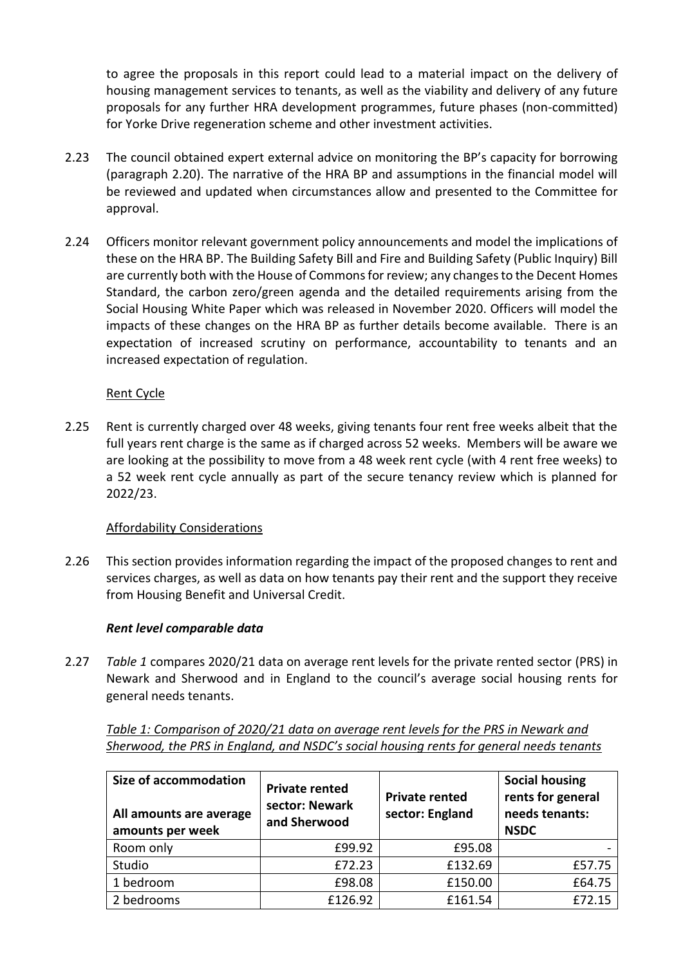to agree the proposals in this report could lead to a material impact on the delivery of housing management services to tenants, as well as the viability and delivery of any future proposals for any further HRA development programmes, future phases (non-committed) for Yorke Drive regeneration scheme and other investment activities.

- 2.23 The council obtained expert external advice on monitoring the BP's capacity for borrowing (paragraph 2.20). The narrative of the HRA BP and assumptions in the financial model will be reviewed and updated when circumstances allow and presented to the Committee for approval.
- 2.24 Officers monitor relevant government policy announcements and model the implications of these on the HRA BP. The Building Safety Bill and Fire and Building Safety (Public Inquiry) Bill are currently both with the House of Commons for review; any changes to the Decent Homes Standard, the carbon zero/green agenda and the detailed requirements arising from the Social Housing White Paper which was released in November 2020. Officers will model the impacts of these changes on the HRA BP as further details become available. There is an expectation of increased scrutiny on performance, accountability to tenants and an increased expectation of regulation.

### Rent Cycle

2.25 Rent is currently charged over 48 weeks, giving tenants four rent free weeks albeit that the full years rent charge is the same as if charged across 52 weeks. Members will be aware we are looking at the possibility to move from a 48 week rent cycle (with 4 rent free weeks) to a 52 week rent cycle annually as part of the secure tenancy review which is planned for 2022/23.

### Affordability Considerations

2.26 This section provides information regarding the impact of the proposed changes to rent and services charges, as well as data on how tenants pay their rent and the support they receive from Housing Benefit and Universal Credit.

### *Rent level comparable data*

2.27 *Table 1* compares 2020/21 data on average rent levels for the private rented sector (PRS) in Newark and Sherwood and in England to the council's average social housing rents for general needs tenants.

| Table 1: Comparison of 2020/21 data on average rent levels for the PRS in Newark and    |  |  |  |  |  |
|-----------------------------------------------------------------------------------------|--|--|--|--|--|
| Sherwood, the PRS in England, and NSDC's social housing rents for general needs tenants |  |  |  |  |  |

| <b>Size of accommodation</b><br>All amounts are average<br>amounts per week | <b>Private rented</b><br>sector: Newark<br>and Sherwood | <b>Private rented</b><br>sector: England | <b>Social housing</b><br>rents for general<br>needs tenants:<br><b>NSDC</b> |  |
|-----------------------------------------------------------------------------|---------------------------------------------------------|------------------------------------------|-----------------------------------------------------------------------------|--|
| Room only                                                                   | £99.92                                                  | £95.08                                   |                                                                             |  |
| Studio                                                                      | £72.23                                                  | £132.69                                  | £57.75                                                                      |  |
| 1 bedroom                                                                   | £98.08                                                  | £150.00                                  | £64.75                                                                      |  |
| 2 bedrooms                                                                  | £126.92                                                 | £161.54                                  | £72.15                                                                      |  |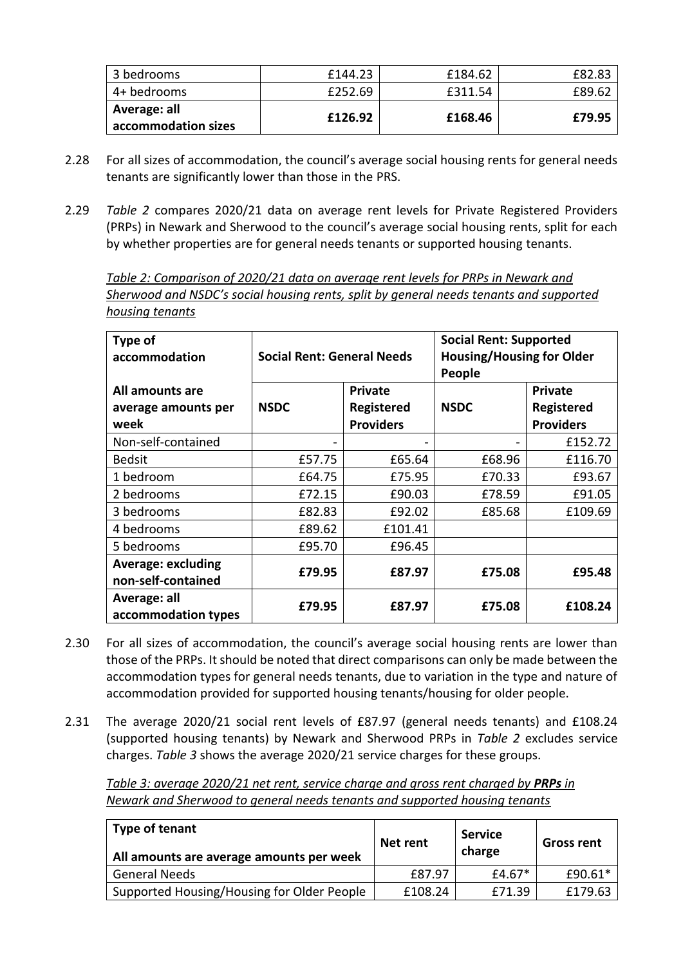| 3 bedrooms                          | £144.23 | £184.62 | £82.83 |
|-------------------------------------|---------|---------|--------|
| 4+ bedrooms                         | £252.69 | £311.54 | £89.62 |
| Average: all<br>accommodation sizes | £126.92 | £168.46 | £79.95 |

- 2.28 For all sizes of accommodation, the council's average social housing rents for general needs tenants are significantly lower than those in the PRS.
- 2.29 *Table 2* compares 2020/21 data on average rent levels for Private Registered Providers (PRPs) in Newark and Sherwood to the council's average social housing rents, split for each by whether properties are for general needs tenants or supported housing tenants.

*Table 2: Comparison of 2020/21 data on average rent levels for PRPs in Newark and Sherwood and NSDC's social housing rents, split by general needs tenants and supported housing tenants*

| Type of<br>accommodation                        | <b>Social Rent: General Needs</b>                                      |         | <b>Social Rent: Supported</b><br><b>Housing/Housing for Older</b><br>People |                                                  |  |  |
|-------------------------------------------------|------------------------------------------------------------------------|---------|-----------------------------------------------------------------------------|--------------------------------------------------|--|--|
| All amounts are<br>average amounts per<br>week  | <b>Private</b><br><b>NSDC</b><br><b>Registered</b><br><b>Providers</b> |         | <b>NSDC</b>                                                                 | <b>Private</b><br>Registered<br><b>Providers</b> |  |  |
| Non-self-contained                              |                                                                        |         |                                                                             | £152.72                                          |  |  |
| <b>Bedsit</b>                                   | £57.75                                                                 | £65.64  | £68.96                                                                      | £116.70                                          |  |  |
| 1 bedroom                                       | £64.75                                                                 | £75.95  | £70.33                                                                      | £93.67                                           |  |  |
| 2 bedrooms                                      | £72.15                                                                 | £90.03  | £78.59                                                                      | £91.05                                           |  |  |
| 3 bedrooms                                      | £82.83                                                                 | £92.02  | £85.68                                                                      | £109.69                                          |  |  |
| 4 bedrooms                                      | £89.62                                                                 | £101.41 |                                                                             |                                                  |  |  |
| 5 bedrooms                                      | £95.70                                                                 | £96.45  |                                                                             |                                                  |  |  |
| <b>Average: excluding</b><br>non-self-contained | £79.95                                                                 | £87.97  | £75.08                                                                      | £95.48                                           |  |  |
| Average: all<br>accommodation types             | £79.95                                                                 | £87.97  | £75.08                                                                      | £108.24                                          |  |  |

- 2.30 For all sizes of accommodation, the council's average social housing rents are lower than those of the PRPs. It should be noted that direct comparisons can only be made between the accommodation types for general needs tenants, due to variation in the type and nature of accommodation provided for supported housing tenants/housing for older people.
- 2.31 The average 2020/21 social rent levels of £87.97 (general needs tenants) and £108.24 (supported housing tenants) by Newark and Sherwood PRPs in *Table 2* excludes service charges. *Table 3* shows the average 2020/21 service charges for these groups.

*Table 3: average 2020/21 net rent, service charge and gross rent charged by PRPs in Newark and Sherwood to general needs tenants and supported housing tenants*

| Type of tenant<br>All amounts are average amounts per week | Net rent | Service<br>charge | <b>Gross rent</b> |
|------------------------------------------------------------|----------|-------------------|-------------------|
| <b>General Needs</b>                                       | £87.97   | £4.67 $*$         | £90.61*           |
| Supported Housing/Housing for Older People                 | £108.24  | £71.39            | £179.63           |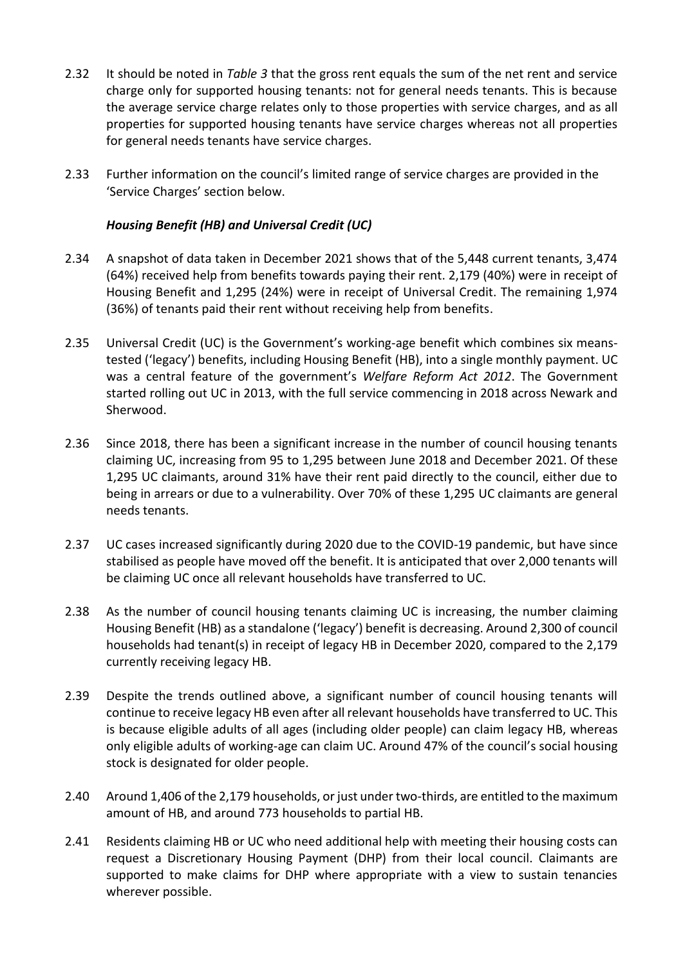- 2.32 It should be noted in *Table 3* that the gross rent equals the sum of the net rent and service charge only for supported housing tenants: not for general needs tenants. This is because the average service charge relates only to those properties with service charges, and as all properties for supported housing tenants have service charges whereas not all properties for general needs tenants have service charges.
- 2.33 Further information on the council's limited range of service charges are provided in the 'Service Charges' section below.

## *Housing Benefit (HB) and Universal Credit (UC)*

- 2.34 A snapshot of data taken in December 2021 shows that of the 5,448 current tenants, 3,474 (64%) received help from benefits towards paying their rent. 2,179 (40%) were in receipt of Housing Benefit and 1,295 (24%) were in receipt of Universal Credit. The remaining 1,974 (36%) of tenants paid their rent without receiving help from benefits.
- 2.35 Universal Credit (UC) is the Government's working-age benefit which combines six meanstested ('legacy') benefits, including Housing Benefit (HB), into a single monthly payment. UC was a central feature of the government's *Welfare Reform Act 2012*. The Government started rolling out UC in 2013, with the full service commencing in 2018 across Newark and Sherwood.
- 2.36 Since 2018, there has been a significant increase in the number of council housing tenants claiming UC, increasing from 95 to 1,295 between June 2018 and December 2021. Of these 1,295 UC claimants, around 31% have their rent paid directly to the council, either due to being in arrears or due to a vulnerability. Over 70% of these 1,295 UC claimants are general needs tenants.
- 2.37 UC cases increased significantly during 2020 due to the COVID-19 pandemic, but have since stabilised as people have moved off the benefit. It is anticipated that over 2,000 tenants will be claiming UC once all relevant households have transferred to UC.
- 2.38 As the number of council housing tenants claiming UC is increasing, the number claiming Housing Benefit (HB) as a standalone ('legacy') benefit is decreasing. Around 2,300 of council households had tenant(s) in receipt of legacy HB in December 2020, compared to the 2,179 currently receiving legacy HB.
- 2.39 Despite the trends outlined above, a significant number of council housing tenants will continue to receive legacy HB even after all relevant households have transferred to UC. This is because eligible adults of all ages (including older people) can claim legacy HB, whereas only eligible adults of working-age can claim UC. Around 47% of the council's social housing stock is designated for older people.
- 2.40 Around 1,406 of the 2,179 households, or just under two-thirds, are entitled to the maximum amount of HB, and around 773 households to partial HB.
- <span id="page-5-0"></span>2.41 Residents claiming HB or UC who need additional help with meeting their housing costs can request a Discretionary Housing Payment (DHP) from their local council. Claimants are supported to make claims for DHP where appropriate with a view to sustain tenancies wherever possible.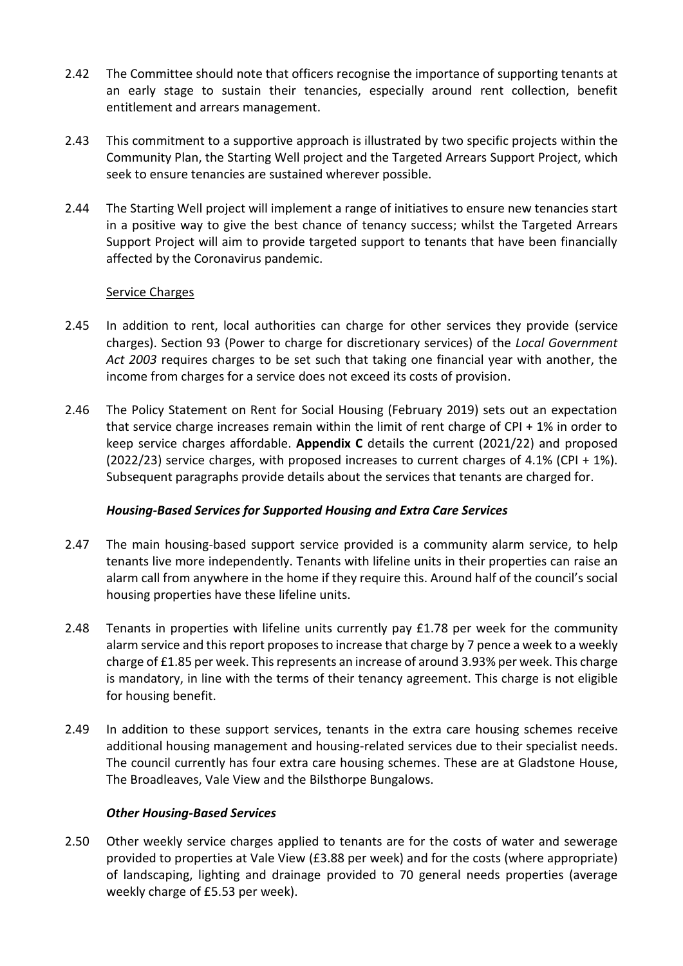- <span id="page-6-0"></span>2.42 The Committee should note that officers recognise the importance of supporting tenants at an early stage to sustain their tenancies, especially around rent collection, benefit entitlement and arrears management.
- 2.43 This commitment to a supportive approach is illustrated by two specific projects within the Community Plan, the Starting Well project and the Targeted Arrears Support Project, which seek to ensure tenancies are sustained wherever possible.
- 2.44 The Starting Well project will implement a range of initiatives to ensure new tenancies start in a positive way to give the best chance of tenancy success; whilst the Targeted Arrears Support Project will aim to provide targeted support to tenants that have been financially affected by the Coronavirus pandemic.

### Service Charges

- 2.45 In addition to rent, local authorities can charge for other services they provide (service charges). Section 93 (Power to charge for discretionary services) of the *Local Government Act 2003* requires charges to be set such that taking one financial year with another, the income from charges for a service does not exceed its costs of provision.
- 2.46 The Policy Statement on Rent for Social Housing (February 2019) sets out an expectation that service charge increases remain within the limit of rent charge of CPI + 1% in order to keep service charges affordable. **Appendix C** details the current (2021/22) and proposed  $(2022/23)$  service charges, with proposed increases to current charges of 4.1% (CPI + 1%). Subsequent paragraphs provide details about the services that tenants are charged for.

## *Housing-Based Services for Supported Housing and Extra Care Services*

- 2.47 The main housing-based support service provided is a community alarm service, to help tenants live more independently. Tenants with lifeline units in their properties can raise an alarm call from anywhere in the home if they require this. Around half of the council's social housing properties have these lifeline units.
- 2.48 Tenants in properties with lifeline units currently pay £1.78 per week for the community alarm service and this report proposes to increase that charge by 7 pence a week to a weekly charge of £1.85 per week. This represents an increase of around 3.93% per week. This charge is mandatory, in line with the terms of their tenancy agreement. This charge is not eligible for housing benefit.
- 2.49 In addition to these support services, tenants in the extra care housing schemes receive additional housing management and housing-related services due to their specialist needs. The council currently has four extra care housing schemes. These are at Gladstone House, The Broadleaves, Vale View and the Bilsthorpe Bungalows.

### *Other Housing-Based Services*

2.50 Other weekly service charges applied to tenants are for the costs of water and sewerage provided to properties at Vale View (£3.88 per week) and for the costs (where appropriate) of landscaping, lighting and drainage provided to 70 general needs properties (average weekly charge of £5.53 per week).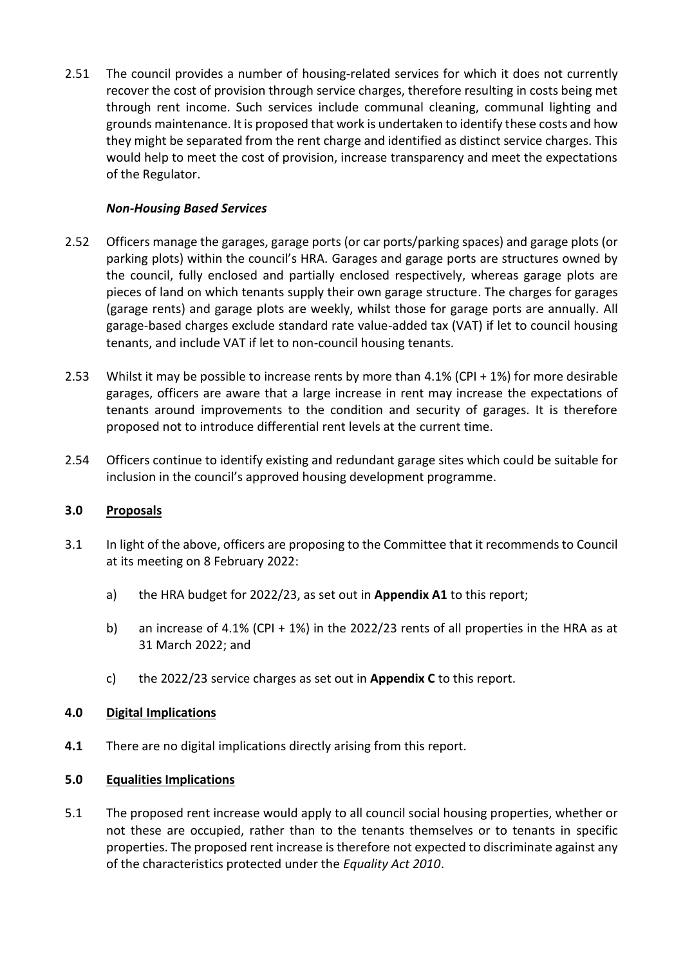2.51 The council provides a number of housing-related services for which it does not currently recover the cost of provision through service charges, therefore resulting in costs being met through rent income. Such services include communal cleaning, communal lighting and grounds maintenance. It is proposed that work is undertaken to identify these costs and how they might be separated from the rent charge and identified as distinct service charges. This would help to meet the cost of provision, increase transparency and meet the expectations of the Regulator.

### *Non-Housing Based Services*

- 2.52 Officers manage the garages, garage ports (or car ports/parking spaces) and garage plots (or parking plots) within the council's HRA. Garages and garage ports are structures owned by the council, fully enclosed and partially enclosed respectively, whereas garage plots are pieces of land on which tenants supply their own garage structure. The charges for garages (garage rents) and garage plots are weekly, whilst those for garage ports are annually. All garage-based charges exclude standard rate value-added tax (VAT) if let to council housing tenants, and include VAT if let to non-council housing tenants.
- 2.53 Whilst it may be possible to increase rents by more than 4.1% (CPI + 1%) for more desirable garages, officers are aware that a large increase in rent may increase the expectations of tenants around improvements to the condition and security of garages. It is therefore proposed not to introduce differential rent levels at the current time.
- 2.54 Officers continue to identify existing and redundant garage sites which could be suitable for inclusion in the council's approved housing development programme.

## **3.0 Proposals**

- 3.1 In light of the above, officers are proposing to the Committee that it recommends to Council at its meeting on 8 February 2022:
	- a) the HRA budget for 2022/23, as set out in **Appendix A1** to this report;
	- b) an increase of 4.1% (CPI + 1%) in the 2022/23 rents of all properties in the HRA as at 31 March 2022; and
	- c) the 2022/23 service charges as set out in **Appendix C** to this report.

### **4.0 Digital Implications**

**4.1** There are no digital implications directly arising from this report.

### **5.0 Equalities Implications**

5.1 The proposed rent increase would apply to all council social housing properties, whether or not these are occupied, rather than to the tenants themselves or to tenants in specific properties. The proposed rent increase is therefore not expected to discriminate against any of the characteristics protected under the *Equality Act 2010*.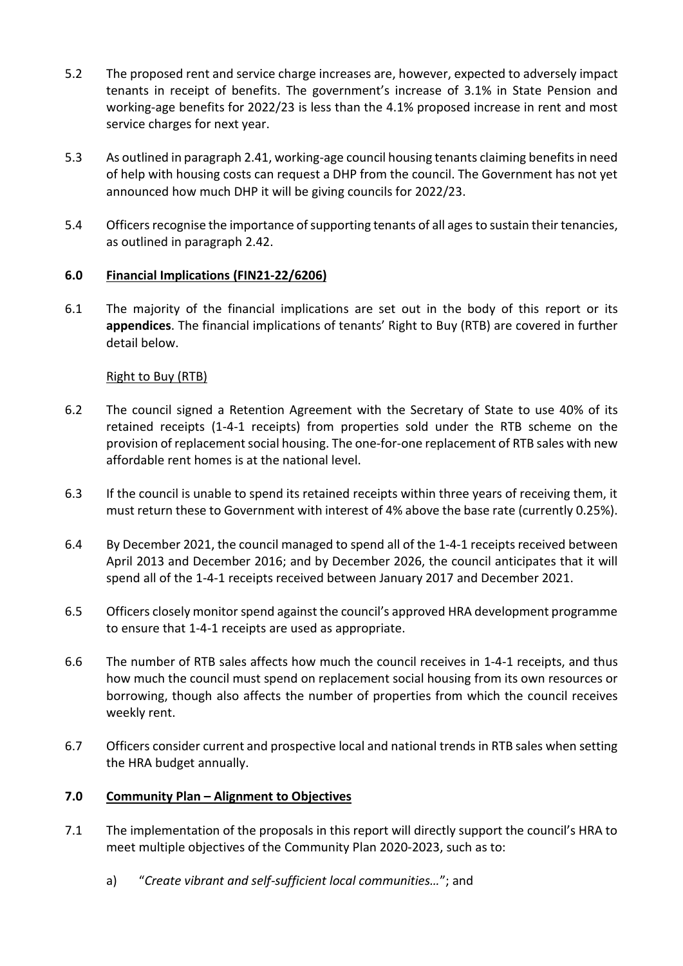- 5.2 The proposed rent and service charge increases are, however, expected to adversely impact tenants in receipt of benefits. The government's increase of 3.1% in State Pension and working-age benefits for 2022/23 is less than the 4.1% proposed increase in rent and most service charges for next year.
- 5.3 As outlined in paragraph [2.41,](#page-5-0) working-age council housing tenants claiming benefits in need of help with housing costs can request a DHP from the council. The Government has not yet announced how much DHP it will be giving councils for 2022/23.
- 5.4 Officers recognise the importance of supporting tenants of all agesto sustain their tenancies, as outlined in paragraph [2.42.](#page-6-0)

## **6.0 Financial Implications (FIN21-22/6206)**

6.1 The majority of the financial implications are set out in the body of this report or its **appendices**. The financial implications of tenants' Right to Buy (RTB) are covered in further detail below.

### Right to Buy (RTB)

- 6.2 The council signed a Retention Agreement with the Secretary of State to use 40% of its retained receipts (1-4-1 receipts) from properties sold under the RTB scheme on the provision of replacement social housing. The one-for-one replacement of RTB sales with new affordable rent homes is at the national level.
- 6.3 If the council is unable to spend its retained receipts within three years of receiving them, it must return these to Government with interest of 4% above the base rate (currently 0.25%).
- 6.4 By December 2021, the council managed to spend all of the 1-4-1 receipts received between April 2013 and December 2016; and by December 2026, the council anticipates that it will spend all of the 1-4-1 receipts received between January 2017 and December 2021.
- 6.5 Officers closely monitor spend against the council's approved HRA development programme to ensure that 1-4-1 receipts are used as appropriate.
- 6.6 The number of RTB sales affects how much the council receives in 1-4-1 receipts, and thus how much the council must spend on replacement social housing from its own resources or borrowing, though also affects the number of properties from which the council receives weekly rent.
- 6.7 Officers consider current and prospective local and national trends in RTB sales when setting the HRA budget annually.

### **7.0 Community Plan – Alignment to Objectives**

- 7.1 The implementation of the proposals in this report will directly support the council's HRA to meet multiple objectives of the Community Plan 2020-2023, such as to:
	- a) "*Create vibrant and self-sufficient local communities…*"; and